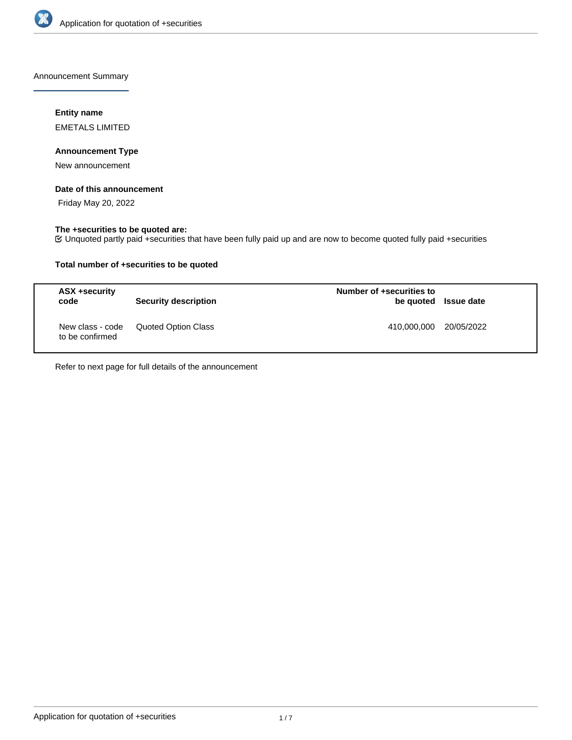

Announcement Summary

# **Entity name**

EMETALS LIMITED

## **Announcement Type**

New announcement

### **Date of this announcement**

Friday May 20, 2022

# **The +securities to be quoted are:**

Unquoted partly paid +securities that have been fully paid up and are now to become quoted fully paid +securities

## **Total number of +securities to be quoted**

| ASX +security<br>code               | <b>Security description</b> | Number of +securities to | be quoted Issue date |
|-------------------------------------|-----------------------------|--------------------------|----------------------|
| New class - code<br>to be confirmed | Quoted Option Class         | 410,000,000 20/05/2022   |                      |

Refer to next page for full details of the announcement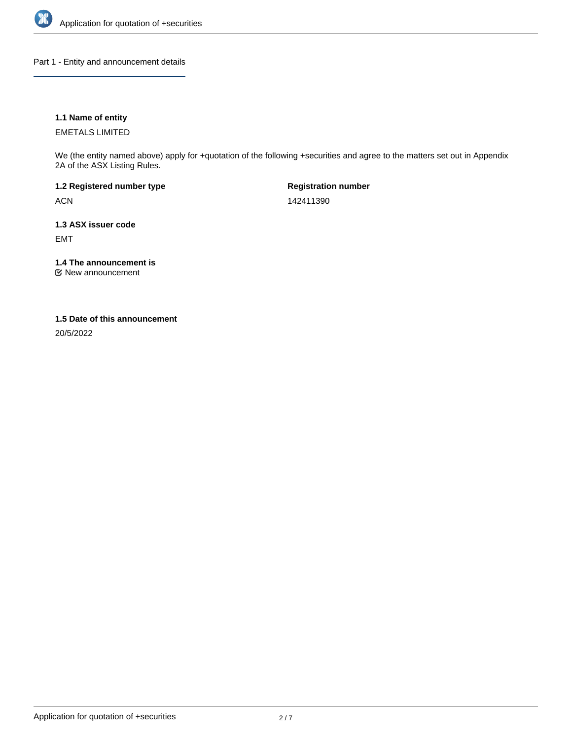

Part 1 - Entity and announcement details

## **1.1 Name of entity**

EMETALS LIMITED

We (the entity named above) apply for +quotation of the following +securities and agree to the matters set out in Appendix 2A of the ASX Listing Rules.

**1.2 Registered number type** ACN

**Registration number** 142411390

**1.3 ASX issuer code** EMT

**1.4 The announcement is**

New announcement

## **1.5 Date of this announcement**

20/5/2022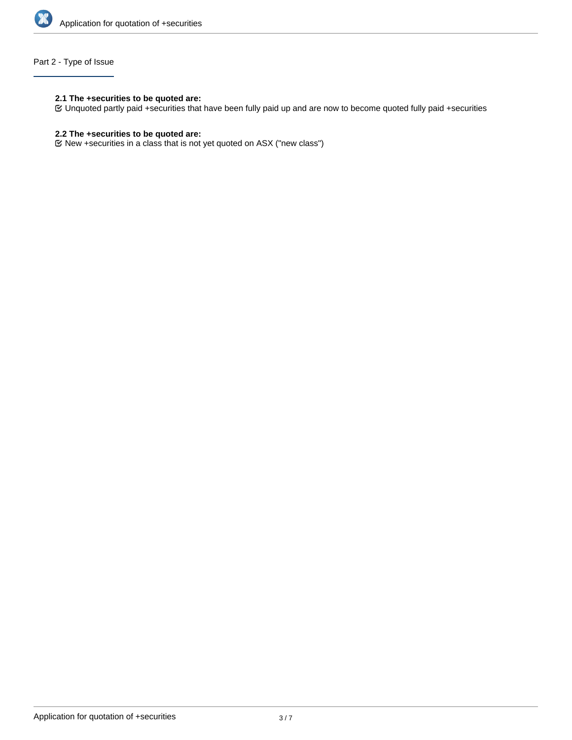

# Part 2 - Type of Issue

### **2.1 The +securities to be quoted are:**

Unquoted partly paid +securities that have been fully paid up and are now to become quoted fully paid +securities

# **2.2 The +securities to be quoted are:**

New +securities in a class that is not yet quoted on ASX ("new class")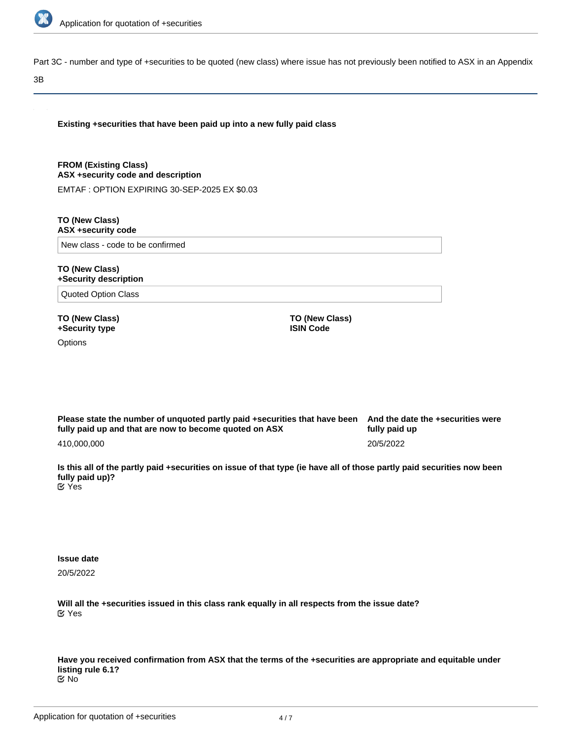

Part 3C - number and type of +securities to be quoted (new class) where issue has not previously been notified to ASX in an Appendix

#### 3B

**Existing +securities that have been paid up into a new fully paid class**

**FROM (Existing Class) ASX +security code and description**

EMTAF : OPTION EXPIRING 30-SEP-2025 EX \$0.03

**TO (New Class) ASX +security code**

New class - code to be confirmed

#### **TO (New Class) +Security description**

Quoted Option Class

**TO (New Class) +Security type**

**Options** 

**TO (New Class) ISIN Code**

**Please state the number of unquoted partly paid +securities that have been fully paid up and that are now to become quoted on ASX** 410,000,000

**And the date the +securities were fully paid up** 20/5/2022

**Is this all of the partly paid +securities on issue of that type (ie have all of those partly paid securities now been fully paid up)? E** Yes

**Issue date**

20/5/2022

**Will all the +securities issued in this class rank equally in all respects from the issue date?** Yes

**Have you received confirmation from ASX that the terms of the +securities are appropriate and equitable under listing rule 6.1?** No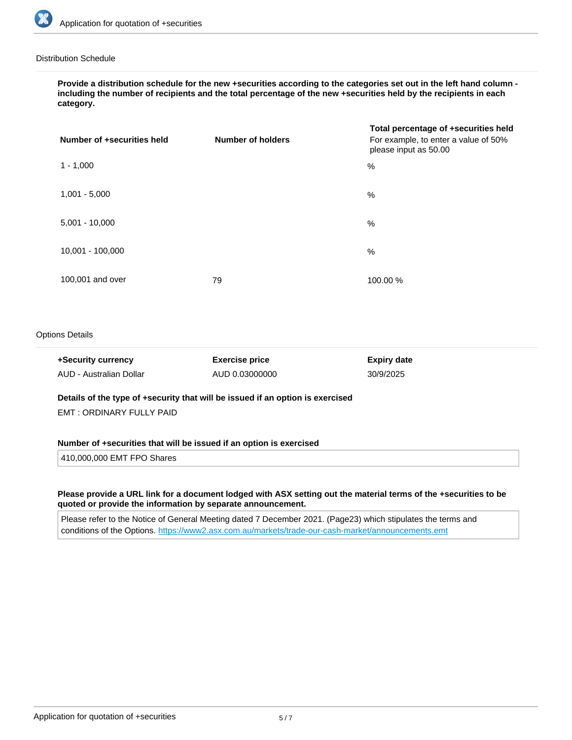

### Distribution Schedule

**Provide a distribution schedule for the new +securities according to the categories set out in the left hand column including the number of recipients and the total percentage of the new +securities held by the recipients in each category.**

| Number of +securities held | <b>Number of holders</b> | Total percentage of +securities held<br>For example, to enter a value of 50%<br>please input as 50.00 |
|----------------------------|--------------------------|-------------------------------------------------------------------------------------------------------|
| $1 - 1,000$                |                          | %                                                                                                     |
| $1,001 - 5,000$            |                          | %                                                                                                     |
| $5,001 - 10,000$           |                          | %                                                                                                     |
| 10,001 - 100,000           |                          | %                                                                                                     |
| 100,001 and over           | 79                       | 100.00 %                                                                                              |

### Options Details

| +Security currency      | <b>Exercise price</b> | <b>Expiry date</b> |
|-------------------------|-----------------------|--------------------|
| AUD - Australian Dollar | AUD 0.03000000        | 30/9/2025          |

**Details of the type of +security that will be issued if an option is exercised**

EMT : ORDINARY FULLY PAID

#### **Number of +securities that will be issued if an option is exercised**

410,000,000 EMT FPO Shares

### **Please provide a URL link for a document lodged with ASX setting out the material terms of the +securities to be quoted or provide the information by separate announcement.**

Please refer to the Notice of General Meeting dated 7 December 2021. (Page23) which stipulates the terms and conditions of the Options. <https://www2.asx.com.au/markets/trade-our-cash-market/announcements.emt>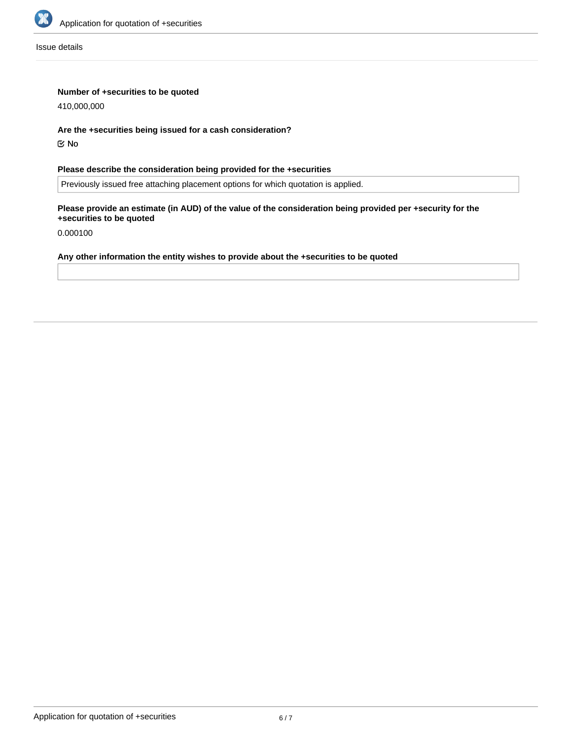

Issue details

## **Number of +securities to be quoted**

410,000,000

### **Are the +securities being issued for a cash consideration?**

No

# **Please describe the consideration being provided for the +securities**

Previously issued free attaching placement options for which quotation is applied.

## **Please provide an estimate (in AUD) of the value of the consideration being provided per +security for the +securities to be quoted**

0.000100

# **Any other information the entity wishes to provide about the +securities to be quoted**